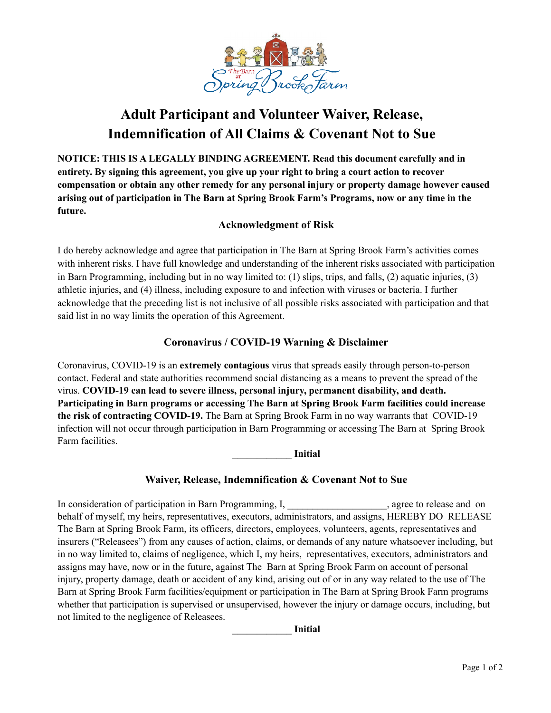

# **Adult Participant and Volunteer Waiver, Release, Indemnification of All Claims & Covenant Not to Sue**

**NOTICE: THIS IS A LEGALLY BINDING AGREEMENT. Read this document carefully and in entirety. By signing this agreement, you give up your right to bring a court action to recover compensation or obtain any other remedy for any personal injury or property damage however caused arising out of participation in The Barn at Spring Brook Farm's Programs, now or any time in the future.**

## **Acknowledgment of Risk**

I do hereby acknowledge and agree that participation in The Barn at Spring Brook Farm's activities comes with inherent risks. I have full knowledge and understanding of the inherent risks associated with participation in Barn Programming, including but in no way limited to: (1) slips, trips, and falls, (2) aquatic injuries, (3) athletic injuries, and (4) illness, including exposure to and infection with viruses or bacteria. I further acknowledge that the preceding list is not inclusive of all possible risks associated with participation and that said list in no way limits the operation of this Agreement.

## **Coronavirus / COVID-19 Warning & Disclaimer**

Coronavirus, COVID-19 is an **extremely contagious** virus that spreads easily through person-to-person contact. Federal and state authorities recommend social distancing as a means to prevent the spread of the virus. **COVID-19 can lead to severe illness, personal injury, permanent disability, and death. Participating in Barn programs or accessing The Barn at Spring Brook Farm facilities could increase the risk of contracting COVID-19.** The Barn at Spring Brook Farm in no way warrants that COVID-19 infection will not occur through participation in Barn Programming or accessing The Barn at Spring Brook Farm facilities.

\_\_\_\_\_\_\_\_\_\_\_\_ **Initial**

## **Waiver, Release, Indemnification & Covenant Not to Sue**

In consideration of participation in Barn Programming, I, \_\_\_\_\_\_\_\_\_\_\_\_\_\_\_\_\_\_, agree to release and on behalf of myself, my heirs, representatives, executors, administrators, and assigns, HEREBY DO RELEASE The Barn at Spring Brook Farm, its officers, directors, employees, volunteers, agents, representatives and insurers ("Releasees") from any causes of action, claims, or demands of any nature whatsoever including, but in no way limited to, claims of negligence, which I, my heirs, representatives, executors, administrators and assigns may have, now or in the future, against The Barn at Spring Brook Farm on account of personal injury, property damage, death or accident of any kind, arising out of or in any way related to the use of The Barn at Spring Brook Farm facilities/equipment or participation in The Barn at Spring Brook Farm programs whether that participation is supervised or unsupervised, however the injury or damage occurs, including, but not limited to the negligence of Releasees.

\_\_\_\_\_\_\_\_\_\_\_\_ **Initial**